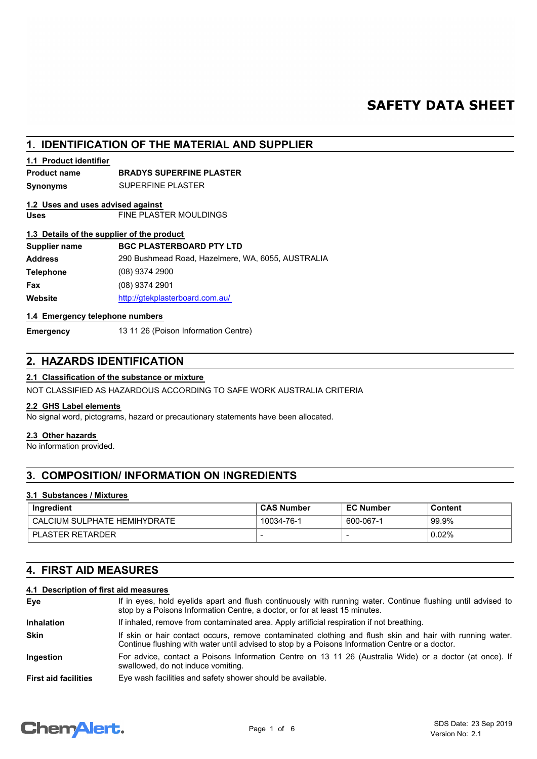# **SAFETY DATA SHEET**

# **1. IDENTIFICATION OF THE MATERIAL AND SUPPLIER**

### **1.1 Product identifier**

### **Product name BRADYS SUPERFINE PLASTER**

**Synonyms** SUPERFINE PLASTER

### **1.2 Uses and uses advised against**

**Uses** FINE PLASTER MOULDINGS

### **1.3 Details of the supplier of the product**

| Supplier name    | <b>BGC PLASTERBOARD PTY LTD</b>                   |
|------------------|---------------------------------------------------|
| <b>Address</b>   | 290 Bushmead Road, Hazelmere, WA, 6055, AUSTRALIA |
| <b>Telephone</b> | $(08)$ 9374 2900                                  |
| Fax              | $(08)$ 9374 2901                                  |
| Website          | http://gtekplasterboard.com.au/                   |

### **1.4 Emergency telephone numbers**

**Emergency** 13 11 26 (Poison Information Centre)

# **2. HAZARDS IDENTIFICATION**

### **2.1 Classification of the substance or mixture**

NOT CLASSIFIED AS HAZARDOUS ACCORDING TO SAFE WORK AUSTRALIA CRITERIA

### **2.2 GHS Label elements**

No signal word, pictograms, hazard or precautionary statements have been allocated.

### **2.3 Other hazards**

No information provided.

# **3. COMPOSITION/ INFORMATION ON INGREDIENTS**

### **3.1 Substances / Mixtures**

| Ingredient                   | <b>CAS Number</b> | <b>EC Number</b> | Content |
|------------------------------|-------------------|------------------|---------|
| CALCIUM SULPHATE HEMIHYDRATE | 10034-76-1        | 600-067-1        | 99.9%   |
| <b>PLASTER RETARDER</b>      |                   |                  | 0.02%   |

# **4. FIRST AID MEASURES**

## **4.1 Description of first aid measures**

| Eye                         | If in eyes, hold eyelids apart and flush continuously with running water. Continue flushing until advised to<br>stop by a Poisons Information Centre, a doctor, or for at least 15 minutes.                 |
|-----------------------------|-------------------------------------------------------------------------------------------------------------------------------------------------------------------------------------------------------------|
| <b>Inhalation</b>           | If inhaled, remove from contaminated area. Apply artificial respiration if not breathing.                                                                                                                   |
| <b>Skin</b>                 | If skin or hair contact occurs, remove contaminated clothing and flush skin and hair with running water.<br>Continue flushing with water until advised to stop by a Poisons Information Centre or a doctor. |
| Ingestion                   | For advice, contact a Poisons Information Centre on 13 11 26 (Australia Wide) or a doctor (at once). If<br>swallowed, do not induce vomiting.                                                               |
| <b>First aid facilities</b> | Eye wash facilities and safety shower should be available.                                                                                                                                                  |

# **Chemalert.**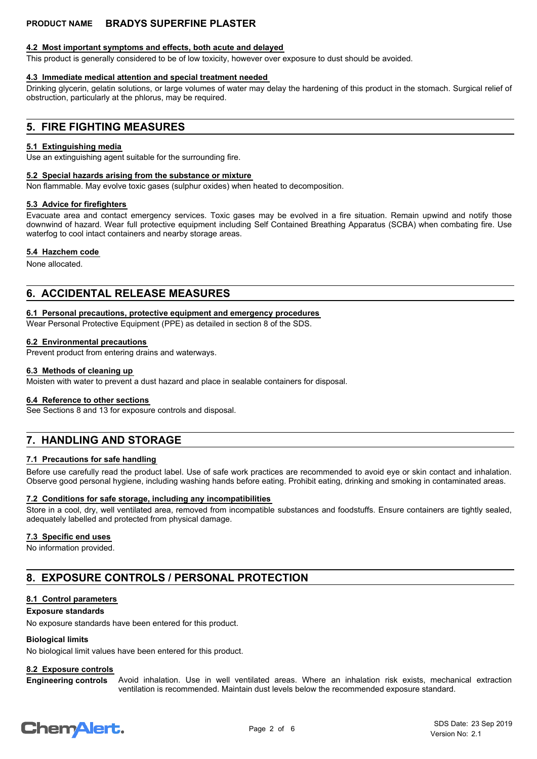### **4.2 Most important symptoms and effects, both acute and delayed**

This product is generally considered to be of low toxicity, however over exposure to dust should be avoided.

## **4.3 Immediate medical attention and special treatment needed**

Drinking glycerin, gelatin solutions, or large volumes of water may delay the hardening of this product in the stomach. Surgical relief of obstruction, particularly at the phlorus, may be required.

# **5. FIRE FIGHTING MEASURES**

## **5.1 Extinguishing media**

Use an extinguishing agent suitable for the surrounding fire.

## **5.2 Special hazards arising from the substance or mixture**

Non flammable. May evolve toxic gases (sulphur oxides) when heated to decomposition.

# **5.3 Advice for firefighters**

Evacuate area and contact emergency services. Toxic gases may be evolved in a fire situation. Remain upwind and notify those downwind of hazard. Wear full protective equipment including Self Contained Breathing Apparatus (SCBA) when combating fire. Use waterfog to cool intact containers and nearby storage areas.

### **5.4 Hazchem code**

None allocated.

# **6. ACCIDENTAL RELEASE MEASURES**

### **6.1 Personal precautions, protective equipment and emergency procedures**

Wear Personal Protective Equipment (PPE) as detailed in section 8 of the SDS.

### **6.2 Environmental precautions**

Prevent product from entering drains and waterways.

### **6.3 Methods of cleaning up**

Moisten with water to prevent a dust hazard and place in sealable containers for disposal.

### **6.4 Reference to other sections**

See Sections 8 and 13 for exposure controls and disposal.

# **7. HANDLING AND STORAGE**

### **7.1 Precautions for safe handling**

Before use carefully read the product label. Use of safe work practices are recommended to avoid eye or skin contact and inhalation. Observe good personal hygiene, including washing hands before eating. Prohibit eating, drinking and smoking in contaminated areas.

### **7.2 Conditions for safe storage, including any incompatibilities**

Store in a cool, dry, well ventilated area, removed from incompatible substances and foodstuffs. Ensure containers are tightly sealed, adequately labelled and protected from physical damage.

### **7.3 Specific end uses**

No information provided.

# **8. EXPOSURE CONTROLS / PERSONAL PROTECTION**

# **8.1 Control parameters**

### **Exposure standards**

No exposure standards have been entered for this product.

# **Biological limits**

No biological limit values have been entered for this product.

# **8.2 Exposure controls**

Avoid inhalation. Use in well ventilated areas. Where an inhalation risk exists, mechanical extraction ventilation is recommended. Maintain dust levels below the recommended exposure standard. **Engineering controls**

# **ChemAlert.**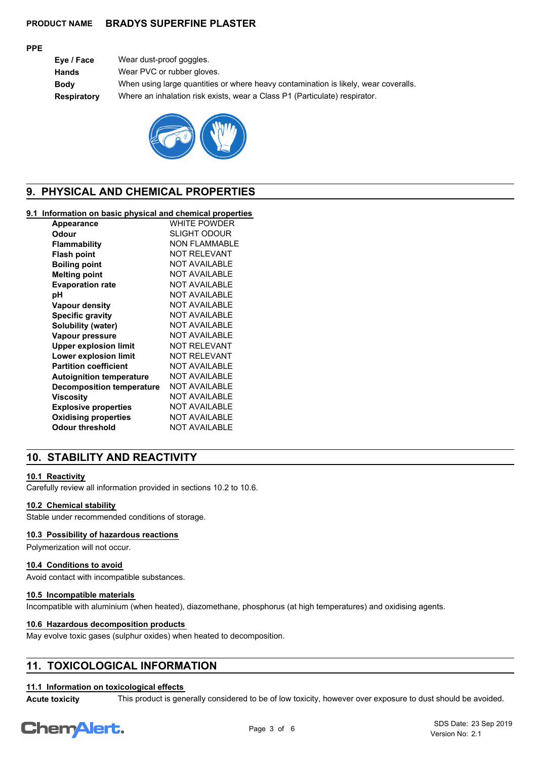### **PPE**

**Eye / Face** Wear dust-proof goggles. **Hands** Wear PVC or rubber gloves. **Body** When using large quantities or where heavy contamination is likely, wear coveralls. **Respiratory** Where an inhalation risk exists, wear a Class P1 (Particulate) respirator.



# **9. PHYSICAL AND CHEMICAL PROPERTIES**

### **9.1 Information on basic physical and chemical properties**

| <b>Appearance</b>                | WHITE POWDER         |
|----------------------------------|----------------------|
| Odour                            | <b>SLIGHT ODOUR</b>  |
| Flammability                     | NON FI AMMABI F      |
| <b>Flash point</b>               | NOT RFI FVANT        |
| <b>Boiling point</b>             | <b>NOT AVAILABLE</b> |
| <b>Melting point</b>             | <b>NOT AVAILABLE</b> |
| <b>Evaporation rate</b>          | <b>NOT AVAILABLE</b> |
| рH                               | NOT AVAII ABI F      |
| Vapour density                   | <b>NOT AVAILABLE</b> |
| <b>Specific gravity</b>          | <b>NOT AVAILABLE</b> |
| Solubility (water)               | <b>NOT AVAILABLE</b> |
| Vapour pressure                  | <b>NOT AVAILABLE</b> |
| <b>Upper explosion limit</b>     | <b>NOT RELEVANT</b>  |
| Lower explosion limit            | NOT RFI FVANT        |
| <b>Partition coefficient</b>     | <b>NOT AVAILABLE</b> |
| <b>Autoignition temperature</b>  | <b>NOT AVAILABLE</b> |
| <b>Decomposition temperature</b> | <b>NOT AVAILABLE</b> |
| Viscosity                        | <b>NOT AVAILABLE</b> |
| <b>Explosive properties</b>      | <b>NOT AVAILABLE</b> |
| <b>Oxidising properties</b>      | <b>NOT AVAILABLE</b> |
| Odour threshold                  | <b>NOT AVAILABLE</b> |
|                                  |                      |

# **10. STABILITY AND REACTIVITY**

### **10.1 Reactivity**

Carefully review all information provided in sections 10.2 to 10.6.

#### **10.2 Chemical stability**

Stable under recommended conditions of storage.

### **10.3 Possibility of hazardous reactions**

Polymerization will not occur.

### **10.4 Conditions to avoid**

Avoid contact with incompatible substances.

### **10.5 Incompatible materials**

Incompatible with aluminium (when heated), diazomethane, phosphorus (at high temperatures) and oxidising agents.

### **10.6 Hazardous decomposition products**

May evolve toxic gases (sulphur oxides) when heated to decomposition.

# **11. TOXICOLOGICAL INFORMATION**

#### **11.1 Information on toxicological effects**

**Acute toxicity** This product is generally considered to be of low toxicity, however over exposure to dust should be avoided.

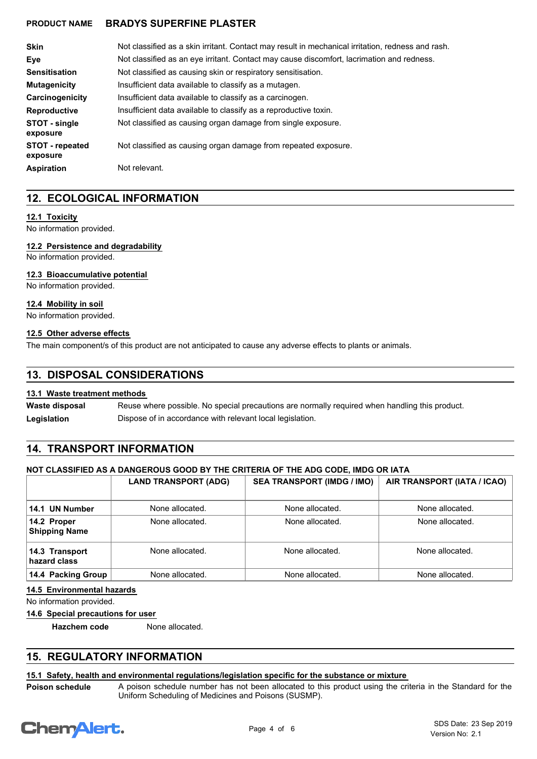| <b>Skin</b>                        | Not classified as a skin irritant. Contact may result in mechanical irritation, redness and rash. |
|------------------------------------|---------------------------------------------------------------------------------------------------|
| Eve                                | Not classified as an eye irritant. Contact may cause discomfort, lacrimation and redness.         |
| <b>Sensitisation</b>               | Not classified as causing skin or respiratory sensitisation.                                      |
| <b>Mutagenicity</b>                | Insufficient data available to classify as a mutagen.                                             |
| Carcinogenicity                    | Insufficient data available to classify as a carcinogen.                                          |
| <b>Reproductive</b>                | Insufficient data available to classify as a reproductive toxin.                                  |
| STOT - single<br>exposure          | Not classified as causing organ damage from single exposure.                                      |
| <b>STOT</b> - repeated<br>exposure | Not classified as causing organ damage from repeated exposure.                                    |
| <b>Aspiration</b>                  | Not relevant.                                                                                     |

# **12. ECOLOGICAL INFORMATION**

### **12.1 Toxicity**

No information provided.

### **12.2 Persistence and degradability**

No information provided.

### **12.3 Bioaccumulative potential**

No information provided.

### **12.4 Mobility in soil**

No information provided.

### **12.5 Other adverse effects**

The main component/s of this product are not anticipated to cause any adverse effects to plants or animals.

## **13. DISPOSAL CONSIDERATIONS**

### **13.1 Waste treatment methods**

Reuse where possible. No special precautions are normally required when handling this product. **Waste disposal** Legislation **Dispose of in accordance with relevant local legislation.** 

# **14. TRANSPORT INFORMATION**

### **NOT CLASSIFIED AS A DANGEROUS GOOD BY THE CRITERIA OF THE ADG CODE, IMDG OR IATA**

|                                     | <b>LAND TRANSPORT (ADG)</b> | <b>SEA TRANSPORT (IMDG / IMO)</b> | AIR TRANSPORT (IATA / ICAO) |
|-------------------------------------|-----------------------------|-----------------------------------|-----------------------------|
| 14.1 UN Number                      | None allocated.             | None allocated.                   | None allocated.             |
| 14.2 Proper<br><b>Shipping Name</b> | None allocated.             | None allocated.                   | None allocated.             |
| 14.3 Transport<br>hazard class      | None allocated.             | None allocated.                   | None allocated.             |
| 14.4 Packing Group                  | None allocated.             | None allocated.                   | None allocated.             |

### **14.5 Environmental hazards**

No information provided.

**14.6 Special precautions for user**

**Hazchem code** None allocated.

# **15. REGULATORY INFORMATION**

### **15.1 Safety, health and environmental regulations/legislation specific for the substance or mixture**

**Poison schedule**

A poison schedule number has not been allocated to this product using the criteria in the Standard for the Uniform Scheduling of Medicines and Poisons (SUSMP).

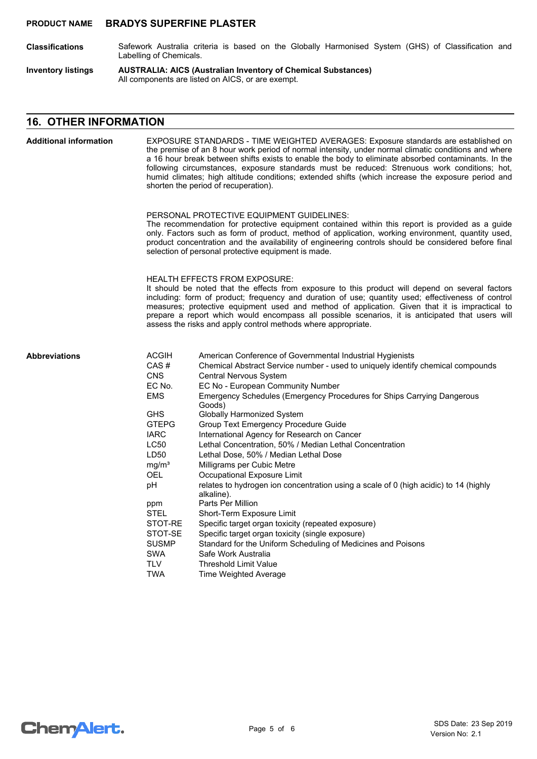- Safework Australia criteria is based on the Globally Harmonised System (GHS) of Classification and Labelling of Chemicals. **Classifications**
- **AUSTRALIA: AICS (Australian Inventory of Chemical Substances)** All components are listed on AICS, or are exempt. **Inventory listings**

## **16. OTHER INFORMATION**

| <b>Additional information</b> | EXPOSURE STANDARDS - TIME WEIGHTED AVERAGES: Exposure standards are established on<br>the premise of an 8 hour work period of normal intensity, under normal climatic conditions and where<br>a 16 hour break between shifts exists to enable the body to eliminate absorbed contaminants. In the<br>following circumstances, exposure standards must be reduced: Strenuous work conditions; hot,<br>humid climates; high altitude conditions; extended shifts (which increase the exposure period and<br>shorten the period of recuperation). |                                                                                                                                                                                                                                                                                                                                                                                                                                                                                                                                                                                                                                                                                                                                                                                                                                                                                                                                                                                                                              |  |
|-------------------------------|------------------------------------------------------------------------------------------------------------------------------------------------------------------------------------------------------------------------------------------------------------------------------------------------------------------------------------------------------------------------------------------------------------------------------------------------------------------------------------------------------------------------------------------------|------------------------------------------------------------------------------------------------------------------------------------------------------------------------------------------------------------------------------------------------------------------------------------------------------------------------------------------------------------------------------------------------------------------------------------------------------------------------------------------------------------------------------------------------------------------------------------------------------------------------------------------------------------------------------------------------------------------------------------------------------------------------------------------------------------------------------------------------------------------------------------------------------------------------------------------------------------------------------------------------------------------------------|--|
|                               |                                                                                                                                                                                                                                                                                                                                                                                                                                                                                                                                                | PERSONAL PROTECTIVE EQUIPMENT GUIDELINES:<br>The recommendation for protective equipment contained within this report is provided as a guide<br>only. Factors such as form of product, method of application, working environment, quantity used,<br>product concentration and the availability of engineering controls should be considered before final<br>selection of personal protective equipment is made.                                                                                                                                                                                                                                                                                                                                                                                                                                                                                                                                                                                                             |  |
|                               |                                                                                                                                                                                                                                                                                                                                                                                                                                                                                                                                                | <b>HEALTH EFFECTS FROM EXPOSURE:</b><br>It should be noted that the effects from exposure to this product will depend on several factors<br>including: form of product; frequency and duration of use; quantity used; effectiveness of control<br>measures; protective equipment used and method of application. Given that it is impractical to<br>prepare a report which would encompass all possible scenarios, it is anticipated that users will<br>assess the risks and apply control methods where appropriate.                                                                                                                                                                                                                                                                                                                                                                                                                                                                                                        |  |
| <b>Abbreviations</b>          | <b>ACGIH</b><br>CAS#<br><b>CNS</b><br>EC No.<br><b>EMS</b><br><b>GHS</b><br><b>GTEPG</b><br><b>IARC</b><br><b>LC50</b><br>LD50<br>mg/m <sup>3</sup><br><b>OEL</b><br>рH<br>ppm<br><b>STEL</b><br>STOT-RE<br>STOT-SE<br><b>SUSMP</b><br><b>SWA</b><br><b>TLV</b><br><b>TWA</b>                                                                                                                                                                                                                                                                  | American Conference of Governmental Industrial Hygienists<br>Chemical Abstract Service number - used to uniquely identify chemical compounds<br><b>Central Nervous System</b><br>EC No - European Community Number<br>Emergency Schedules (Emergency Procedures for Ships Carrying Dangerous<br>Goods)<br><b>Globally Harmonized System</b><br><b>Group Text Emergency Procedure Guide</b><br>International Agency for Research on Cancer<br>Lethal Concentration, 50% / Median Lethal Concentration<br>Lethal Dose, 50% / Median Lethal Dose<br>Milligrams per Cubic Metre<br>Occupational Exposure Limit<br>relates to hydrogen ion concentration using a scale of 0 (high acidic) to 14 (highly<br>alkaline).<br>Parts Per Million<br>Short-Term Exposure Limit<br>Specific target organ toxicity (repeated exposure)<br>Specific target organ toxicity (single exposure)<br>Standard for the Uniform Scheduling of Medicines and Poisons<br>Safe Work Australia<br><b>Threshold Limit Value</b><br>Time Weighted Average |  |